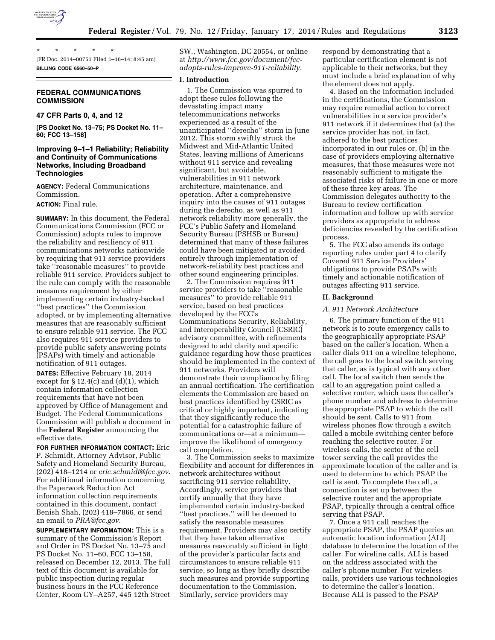

\* \* \* \* \* [FR Doc. 2014–00751 Filed 1–16–14; 8:45 am] **BILLING CODE 6560–50–P** 

# **FEDERAL COMMUNICATIONS COMMISSION**

# **47 CFR Parts 0, 4, and 12**

**[PS Docket No. 13–75; PS Docket No. 11– 60; FCC 13–158]** 

# **Improving 9–1–1 Reliability; Reliability and Continuity of Communications Networks, Including Broadband Technologies**

**AGENCY:** Federal Communications Commission.

# **ACTION:** Final rule.

**SUMMARY:** In this document, the Federal Communications Commission (FCC or Commission) adopts rules to improve the reliability and resiliency of 911 communications networks nationwide by requiring that 911 service providers take ''reasonable measures'' to provide reliable 911 service. Providers subject to the rule can comply with the reasonable measures requirement by either implementing certain industry-backed ''best practices'' the Commission adopted, or by implementing alternative measures that are reasonably sufficient to ensure reliable 911 service. The FCC also requires 911 service providers to provide public safety answering points (PSAPs) with timely and actionable notification of 911 outages.

**DATES:** Effective February 18, 2014 except for  $\S 12.4(c)$  and  $(d)(1)$ , which contain information collection requirements that have not been approved by Office of Management and Budget. The Federal Communications Commission will publish a document in the **Federal Register** announcing the effective date.

**FOR FURTHER INFORMATION CONTACT:** Eric P. Schmidt, Attorney Advisor, Public Safety and Homeland Security Bureau, (202) 418–1214 or *[eric.schmidt@fcc.gov](mailto:eric.schmidt@fcc.gov)*. For additional information concerning the Paperwork Reduction Act information collection requirements contained in this document, contact Benish Shah, (202) 418–7866, or send an email to *[PRA@fcc.gov](mailto:PRA@fcc.gov)*.

**SUPPLEMENTARY INFORMATION:** This is a summary of the Commission's Report and Order in PS Docket No. 13–75 and PS Docket No. 11–60, FCC 13–158, released on December 12, 2013. The full text of this document is available for public inspection during regular business hours in the FCC Reference Center, Room CY–A257, 445 12th Street

SW., Washington, DC 20554, or online at *[http://www.fcc.gov/document/fcc](http://www.fcc.gov/document/fcc-adopts-rules-improve-911-reliability)[adopts-rules-improve-911-reliability](http://www.fcc.gov/document/fcc-adopts-rules-improve-911-reliability)*.

# **I. Introduction**

1. The Commission was spurred to adopt these rules following the devastating impact many telecommunications networks experienced as a result of the unanticipated ''derecho'' storm in June 2012. This storm swiftly struck the Midwest and Mid-Atlantic United States, leaving millions of Americans without 911 service and revealing significant, but avoidable, vulnerabilities in 911 network architecture, maintenance, and operation. After a comprehensive inquiry into the causes of 911 outages during the derecho, as well as 911 network reliability more generally, the FCC's Public Safety and Homeland Security Bureau (PSHSB or Bureau) determined that many of these failures could have been mitigated or avoided entirely through implementation of network-reliability best practices and other sound engineering principles.

2. The Commission requires 911 service providers to take "reasonable measures'' to provide reliable 911 service, based on best practices developed by the FCC's Communications Security, Reliability, and Interoperability Council (CSRIC) advisory committee, with refinements designed to add clarity and specific guidance regarding how those practices should be implemented in the context of 911 networks. Providers will demonstrate their compliance by filing an annual certification. The certification elements the Commission are based on best practices identified by CSRIC as critical or highly important, indicating that they significantly reduce the potential for a catastrophic failure of communications or—at a minimum improve the likelihood of emergency call completion.

3. The Commission seeks to maximize flexibility and account for differences in network architectures without sacrificing 911 service reliability. Accordingly, service providers that certify annually that they have implemented certain industry-backed ''best practices,'' will be deemed to satisfy the reasonable measures requirement. Providers may also certify that they have taken alternative measures reasonably sufficient in light of the provider's particular facts and circumstances to ensure reliable 911 service, so long as they briefly describe such measures and provide supporting documentation to the Commission. Similarly, service providers may

respond by demonstrating that a particular certification element is not applicable to their networks, but they must include a brief explanation of why the element does not apply.

4. Based on the information included in the certifications, the Commission may require remedial action to correct vulnerabilities in a service provider's 911 network if it determines that (a) the service provider has not, in fact, adhered to the best practices incorporated in our rules or, (b) in the case of providers employing alternative measures, that those measures were not reasonably sufficient to mitigate the associated risks of failure in one or more of these three key areas. The Commission delegates authority to the Bureau to review certification information and follow up with service providers as appropriate to address deficiencies revealed by the certification process.

5. The FCC also amends its outage reporting rules under part 4 to clarify Covered 911 Service Providers' obligations to provide PSAPs with timely and actionable notification of outages affecting 911 service.

### **II. Background**

#### *A. 911 Network Architecture*

6. The primary function of the 911 network is to route emergency calls to the geographically appropriate PSAP based on the caller's location. When a caller dials 911 on a wireline telephone, the call goes to the local switch serving that caller, as is typical with any other call. The local switch then sends the call to an aggregation point called a selective router, which uses the caller's phone number and address to determine the appropriate PSAP to which the call should be sent. Calls to 911 from wireless phones flow through a switch called a mobile switching center before reaching the selective router. For wireless calls, the sector of the cell tower serving the call provides the approximate location of the caller and is used to determine to which PSAP the call is sent. To complete the call, a connection is set up between the selective router and the appropriate PSAP, typically through a central office serving that PSAP.

7. Once a 911 call reaches the appropriate PSAP, the PSAP queries an automatic location information (ALI) database to determine the location of the caller. For wireline calls, ALI is based on the address associated with the caller's phone number. For wireless calls, providers use various technologies to determine the caller's location. Because ALI is passed to the PSAP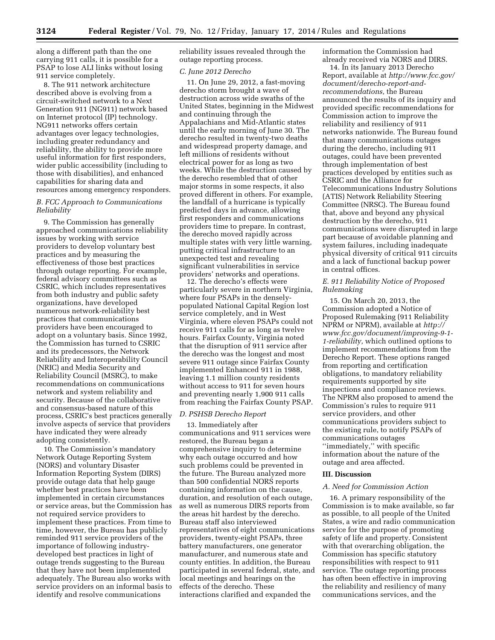along a different path than the one carrying 911 calls, it is possible for a PSAP to lose ALI links without losing 911 service completely.

8. The 911 network architecture described above is evolving from a circuit-switched network to a Next Generation 911 (NG911) network based on Internet protocol (IP) technology. NG911 networks offers certain advantages over legacy technologies, including greater redundancy and reliability, the ability to provide more useful information for first responders, wider public accessibility (including to those with disabilities), and enhanced capabilities for sharing data and resources among emergency responders.

### *B. FCC Approach to Communications Reliability*

9. The Commission has generally approached communications reliability issues by working with service providers to develop voluntary best practices and by measuring the effectiveness of those best practices through outage reporting. For example, federal advisory committees such as CSRIC, which includes representatives from both industry and public safety organizations, have developed numerous network-reliability best practices that communications providers have been encouraged to adopt on a voluntary basis. Since 1992, the Commission has turned to CSRIC and its predecessors, the Network Reliability and Interoperability Council (NRIC) and Media Security and Reliability Council (MSRC), to make recommendations on communications network and system reliability and security. Because of the collaborative and consensus-based nature of this process, CSRIC's best practices generally involve aspects of service that providers have indicated they were already adopting consistently.

10. The Commission's mandatory Network Outage Reporting System (NORS) and voluntary Disaster Information Reporting System (DIRS) provide outage data that help gauge whether best practices have been implemented in certain circumstances or service areas, but the Commission has not required service providers to implement these practices. From time to time, however, the Bureau has publicly reminded 911 service providers of the importance of following industrydeveloped best practices in light of outage trends suggesting to the Bureau that they have not been implemented adequately. The Bureau also works with service providers on an informal basis to identify and resolve communications

reliability issues revealed through the outage reporting process.

#### *C. June 2012 Derecho*

11. On June 29, 2012, a fast-moving derecho storm brought a wave of destruction across wide swaths of the United States, beginning in the Midwest and continuing through the Appalachians and Mid-Atlantic states until the early morning of June 30. The derecho resulted in twenty-two deaths and widespread property damage, and left millions of residents without electrical power for as long as two weeks. While the destruction caused by the derecho resembled that of other major storms in some respects, it also proved different in others. For example, the landfall of a hurricane is typically predicted days in advance, allowing first responders and communications providers time to prepare. In contrast, the derecho moved rapidly across multiple states with very little warning, putting critical infrastructure to an unexpected test and revealing significant vulnerabilities in service providers' networks and operations.

12. The derecho's effects were particularly severe in northern Virginia, where four PSAPs in the denselypopulated National Capital Region lost service completely, and in West Virginia, where eleven PSAPs could not receive 911 calls for as long as twelve hours. Fairfax County, Virginia noted that the disruption of 911 service after the derecho was the longest and most severe 911 outage since Fairfax County implemented Enhanced 911 in 1988, leaving 1.1 million county residents without access to 911 for seven hours and preventing nearly 1,900 911 calls from reaching the Fairfax County PSAP.

#### *D. PSHSB Derecho Report*

13. Immediately after communications and 911 services were restored, the Bureau began a comprehensive inquiry to determine why each outage occurred and how such problems could be prevented in the future. The Bureau analyzed more than 500 confidential NORS reports containing information on the cause, duration, and resolution of each outage, as well as numerous DIRS reports from the areas hit hardest by the derecho. Bureau staff also interviewed representatives of eight communications providers, twenty-eight PSAPs, three battery manufacturers, one generator manufacturer, and numerous state and county entities. In addition, the Bureau participated in several federal, state, and local meetings and hearings on the effects of the derecho. These interactions clarified and expanded the

information the Commission had already received via NORS and DIRS.

14. In its January 2013 Derecho Report, available at *[http://www.fcc.gov/](http://www.fcc.gov/document/derecho-report-and-recommendations)  [document/derecho-report-and](http://www.fcc.gov/document/derecho-report-and-recommendations)[recommendations,](http://www.fcc.gov/document/derecho-report-and-recommendations)* the Bureau announced the results of its inquiry and provided specific recommendations for Commission action to improve the reliability and resiliency of 911 networks nationwide. The Bureau found that many communications outages during the derecho, including 911 outages, could have been prevented through implementation of best practices developed by entities such as CSRIC and the Alliance for Telecommunications Industry Solutions (ATIS) Network Reliability Steering Committee (NRSC). The Bureau found that, above and beyond any physical destruction by the derecho, 911 communications were disrupted in large part because of avoidable planning and system failures, including inadequate physical diversity of critical 911 circuits and a lack of functional backup power in central offices.

# *E. 911 Reliability Notice of Proposed Rulemaking*

15. On March 20, 2013, the Commission adopted a Notice of Proposed Rulemaking (911 Reliability NPRM or NPRM), available at *[http://](http://www.fcc.gov/document/improving-9-1-1-reliability) [www.fcc.gov/document/improving-9-1-](http://www.fcc.gov/document/improving-9-1-1-reliability)  [1-reliability,](http://www.fcc.gov/document/improving-9-1-1-reliability)* which outlined options to implement recommendations from the Derecho Report. These options ranged from reporting and certification obligations, to mandatory reliability requirements supported by site inspections and compliance reviews. The NPRM also proposed to amend the Commission's rules to require 911 service providers, and other communications providers subject to the existing rule, to notify PSAPs of communications outages ''immediately,'' with specific information about the nature of the outage and area affected.

#### **III. Discussion**

### *A. Need for Commission Action*

16. A primary responsibility of the Commission is to make available, so far as possible, to all people of the United States, a wire and radio communication service for the purpose of promoting safety of life and property. Consistent with that overarching obligation, the Commission has specific statutory responsibilities with respect to 911 service. The outage reporting process has often been effective in improving the reliability and resiliency of many communications services, and the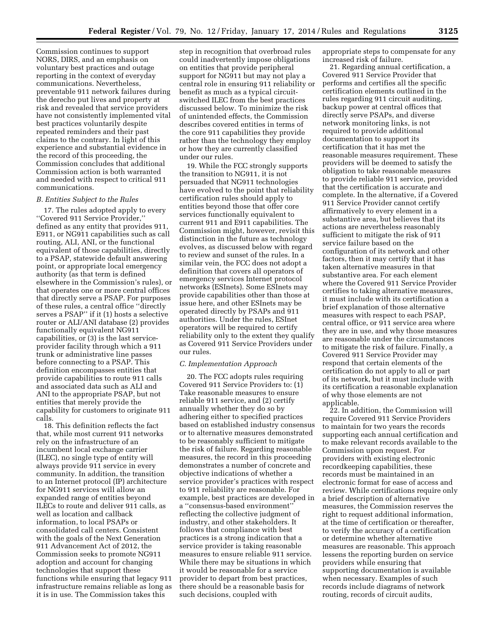Commission continues to support NORS, DIRS, and an emphasis on voluntary best practices and outage reporting in the context of everyday communications. Nevertheless, preventable 911 network failures during the derecho put lives and property at risk and revealed that service providers have not consistently implemented vital best practices voluntarily despite repeated reminders and their past claims to the contrary. In light of this experience and substantial evidence in the record of this proceeding, the Commission concludes that additional Commission action is both warranted and needed with respect to critical 911 communications.

### *B. Entities Subject to the Rules*

17. The rules adopted apply to every ''Covered 911 Service Provider,'' defined as any entity that provides 911, E911, or NG911 capabilities such as call routing, ALI, ANI, or the functional equivalent of those capabilities, directly to a PSAP, statewide default answering point, or appropriate local emergency authority (as that term is defined elsewhere in the Commission's rules), or that operates one or more central offices that directly serve a PSAP. For purposes of these rules, a central office ''directly serves a PSAP'' if it (1) hosts a selective router or ALI/ANI database (2) provides functionally equivalent NG911 capabilities, or (3) is the last serviceprovider facility through which a 911 trunk or administrative line passes before connecting to a PSAP. This definition encompasses entities that provide capabilities to route 911 calls and associated data such as ALI and ANI to the appropriate PSAP, but not entities that merely provide the capability for customers to originate 911 calls.

18. This definition reflects the fact that, while most current 911 networks rely on the infrastructure of an incumbent local exchange carrier (ILEC), no single type of entity will always provide 911 service in every community. In addition, the transition to an Internet protocol (IP) architecture for NG911 services will allow an expanded range of entities beyond ILECs to route and deliver 911 calls, as well as location and callback information, to local PSAPs or consolidated call centers. Consistent with the goals of the Next Generation 911 Advancement Act of 2012, the Commission seeks to promote NG911 adoption and account for changing technologies that support these functions while ensuring that legacy 911 infrastructure remains reliable as long as it is in use. The Commission takes this

step in recognition that overbroad rules could inadvertently impose obligations on entities that provide peripheral support for NG911 but may not play a central role in ensuring 911 reliability or benefit as much as a typical circuitswitched ILEC from the best practices discussed below. To minimize the risk of unintended effects, the Commission describes covered entities in terms of the core 911 capabilities they provide rather than the technology they employ or how they are currently classified under our rules.

19. While the FCC strongly supports the transition to NG911, it is not persuaded that NG911 technologies have evolved to the point that reliability certification rules should apply to entities beyond those that offer core services functionally equivalent to current 911 and E911 capabilities. The Commission might, however, revisit this distinction in the future as technology evolves, as discussed below with regard to review and sunset of the rules. In a similar vein, the FCC does not adopt a definition that covers all operators of emergency services Internet protocol networks (ESInets). Some ESInets may provide capabilities other than those at issue here, and other ESInets may be operated directly by PSAPs and 911 authorities. Under the rules, ESInet operators will be required to certify reliability only to the extent they qualify as Covered 911 Service Providers under our rules.

### *C. Implementation Approach*

20. The FCC adopts rules requiring Covered 911 Service Providers to: (1) Take reasonable measures to ensure reliable 911 service, and (2) certify annually whether they do so by adhering either to specified practices based on established industry consensus or to alternative measures demonstrated to be reasonably sufficient to mitigate the risk of failure. Regarding reasonable measures, the record in this proceeding demonstrates a number of concrete and objective indications of whether a service provider's practices with respect to 911 reliability are reasonable. For example, best practices are developed in a ''consensus-based environment'' reflecting the collective judgment of industry, and other stakeholders. It follows that compliance with best practices is a strong indication that a service provider is taking reasonable measures to ensure reliable 911 service. While there may be situations in which it would be reasonable for a service provider to depart from best practices, there should be a reasonable basis for such decisions, coupled with

appropriate steps to compensate for any increased risk of failure.

21. Regarding annual certification, a Covered 911 Service Provider that performs and certifies all the specific certification elements outlined in the rules regarding 911 circuit auditing, backup power at central offices that directly serve PSAPs, and diverse network monitoring links, is not required to provide additional documentation to support its certification that it has met the reasonable measures requirement. These providers will be deemed to satisfy the obligation to take reasonable measures to provide reliable 911 service, provided that the certification is accurate and complete. In the alternative, if a Covered 911 Service Provider cannot certify affirmatively to every element in a substantive area, but believes that its actions are nevertheless reasonably sufficient to mitigate the risk of 911 service failure based on the configuration of its network and other factors, then it may certify that it has taken alternative measures in that substantive area. For each element where the Covered 911 Service Provider certifies to taking alternative measures, it must include with its certification a brief explanation of those alternative measures with respect to each PSAP, central office, or 911 service area where they are in use, and why those measures are reasonable under the circumstances to mitigate the risk of failure. Finally, a Covered 911 Service Provider may respond that certain elements of the certification do not apply to all or part of its network, but it must include with its certification a reasonable explanation of why those elements are not applicable.

22. In addition, the Commission will require Covered 911 Service Providers to maintain for two years the records supporting each annual certification and to make relevant records available to the Commission upon request. For providers with existing electronic recordkeeping capabilities, these records must be maintained in an electronic format for ease of access and review. While certifications require only a brief description of alternative measures, the Commission reserves the right to request additional information, at the time of certification or thereafter, to verify the accuracy of a certification or determine whether alternative measures are reasonable. This approach lessens the reporting burden on service providers while ensuring that supporting documentation is available when necessary. Examples of such records include diagrams of network routing, records of circuit audits,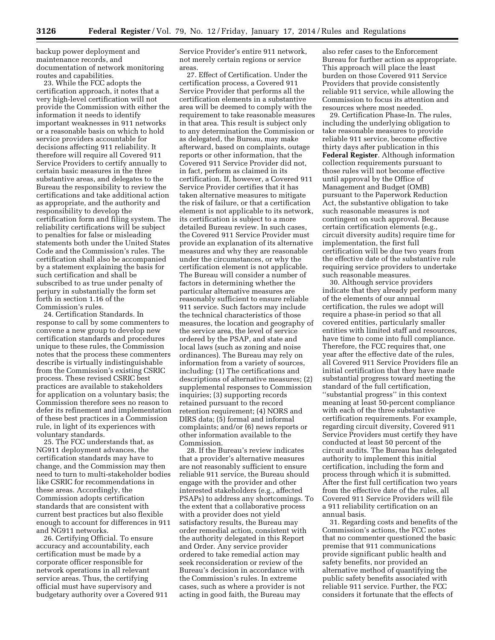backup power deployment and maintenance records, and documentation of network monitoring routes and capabilities.

23. While the FCC adopts the certification approach, it notes that a very high-level certification will not provide the Commission with either the information it needs to identify important weaknesses in 911 networks or a reasonable basis on which to hold service providers accountable for decisions affecting 911 reliability. It therefore will require all Covered 911 Service Providers to certify annually to certain basic measures in the three substantive areas, and delegates to the Bureau the responsibility to review the certifications and take additional action as appropriate, and the authority and responsibility to develop the certification form and filing system. The reliability certifications will be subject to penalties for false or misleading statements both under the United States Code and the Commission's rules. The certification shall also be accompanied by a statement explaining the basis for such certification and shall be subscribed to as true under penalty of perjury in substantially the form set forth in section 1.16 of the Commission's rules.

24. Certification Standards. In response to call by some commenters to convene a new group to develop new certification standards and procedures unique to these rules, the Commission notes that the process these commenters describe is virtually indistinguishable from the Commission's existing CSRIC process. These revised CSRIC best practices are available to stakeholders for application on a voluntary basis; the Commission therefore sees no reason to defer its refinement and implementation of these best practices in a Commission rule, in light of its experiences with voluntary standards.

25. The FCC understands that, as NG911 deployment advances, the certification standards may have to change, and the Commission may then need to turn to multi-stakeholder bodies like CSRIC for recommendations in these areas. Accordingly, the Commission adopts certification standards that are consistent with current best practices but also flexible enough to account for differences in 911 and NG911 networks.

26. Certifying Official. To ensure accuracy and accountability, each certification must be made by a corporate officer responsible for network operations in all relevant service areas. Thus, the certifying official must have supervisory and budgetary authority over a Covered 911 Service Provider's entire 911 network, not merely certain regions or service areas.

27. Effect of Certification. Under the certification process, a Covered 911 Service Provider that performs all the certification elements in a substantive area will be deemed to comply with the requirement to take reasonable measures in that area. This result is subject only to any determination the Commission or as delegated, the Bureau, may make afterward, based on complaints, outage reports or other information, that the Covered 911 Service Provider did not, in fact, perform as claimed in its certification. If, however, a Covered 911 Service Provider certifies that it has taken alternative measures to mitigate the risk of failure, or that a certification element is not applicable to its network, its certification is subject to a more detailed Bureau review. In such cases, the Covered 911 Service Provider must provide an explanation of its alternative measures and why they are reasonable under the circumstances, or why the certification element is not applicable. The Bureau will consider a number of factors in determining whether the particular alternative measures are reasonably sufficient to ensure reliable 911 service. Such factors may include the technical characteristics of those measures, the location and geography of the service area, the level of service ordered by the PSAP, and state and local laws (such as zoning and noise ordinances). The Bureau may rely on information from a variety of sources, including: (1) The certifications and descriptions of alternative measures; (2) supplemental responses to Commission inquiries; (3) supporting records retained pursuant to the record retention requirement; (4) NORS and DIRS data; (5) formal and informal complaints; and/or (6) news reports or other information available to the Commission.

28. If the Bureau's review indicates that a provider's alternative measures are not reasonably sufficient to ensure reliable 911 service, the Bureau should engage with the provider and other interested stakeholders (e.g., affected PSAPs) to address any shortcomings. To the extent that a collaborative process with a provider does not yield satisfactory results, the Bureau may order remedial action, consistent with the authority delegated in this Report and Order. Any service provider ordered to take remedial action may seek reconsideration or review of the Bureau's decision in accordance with the Commission's rules. In extreme cases, such as where a provider is not acting in good faith, the Bureau may

also refer cases to the Enforcement Bureau for further action as appropriate. This approach will place the least burden on those Covered 911 Service Providers that provide consistently reliable 911 service, while allowing the Commission to focus its attention and resources where most needed.

29. Certification Phase-In. The rules, including the underlying obligation to take reasonable measures to provide reliable 911 service, become effective thirty days after publication in this **Federal Register**. Although information collection requirements pursuant to those rules will not become effective until approval by the Office of Management and Budget (OMB) pursuant to the Paperwork Reduction Act, the substantive obligation to take such reasonable measures is not contingent on such approval. Because certain certification elements (e.g., circuit diversity audits) require time for implementation, the first full certification will be due two years from the effective date of the substantive rule requiring service providers to undertake such reasonable measures.

30. Although service providers indicate that they already perform many of the elements of our annual certification, the rules we adopt will require a phase-in period so that all covered entities, particularly smaller entities with limited staff and resources, have time to come into full compliance. Therefore, the FCC requires that, one year after the effective date of the rules, all Covered 911 Service Providers file an initial certification that they have made substantial progress toward meeting the standard of the full certification, ''substantial progress'' in this context meaning at least 50-percent compliance with each of the three substantive certification requirements. For example, regarding circuit diversity, Covered 911 Service Providers must certify they have conducted at least 50 percent of the circuit audits. The Bureau has delegated authority to implement this initial certification, including the form and process through which it is submitted. After the first full certification two years from the effective date of the rules, all Covered 911 Service Providers will file a 911 reliability certification on an annual basis.

31. Regarding costs and benefits of the Commission's actions, the FCC notes that no commenter questioned the basic premise that 911 communications provide significant public health and safety benefits, nor provided an alternative method of quantifying the public safety benefits associated with reliable 911 service. Further, the FCC considers it fortunate that the effects of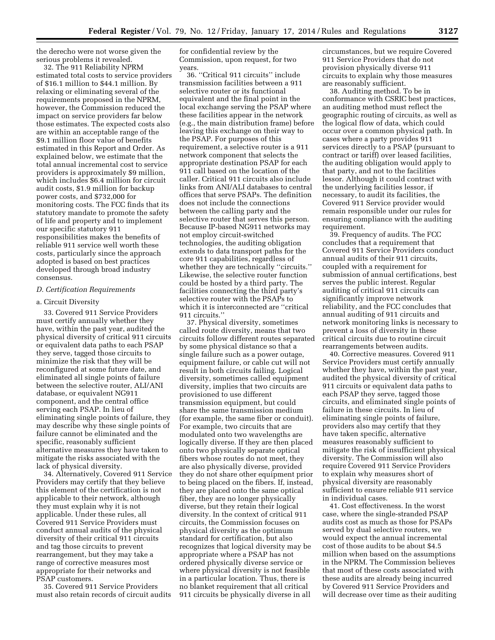the derecho were not worse given the serious problems it revealed.

32. The 911 Reliability NPRM estimated total costs to service providers of \$16.1 million to \$44.1 million. By relaxing or eliminating several of the requirements proposed in the NPRM, however, the Commission reduced the impact on service providers far below those estimates. The expected costs also are within an acceptable range of the \$9.1 million floor value of benefits estimated in this Report and Order. As explained below, we estimate that the total annual incremental cost to service providers is approximately \$9 million, which includes \$6.4 million for circuit audit costs, \$1.9 million for backup power costs, and \$732,000 for monitoring costs. The FCC finds that its statutory mandate to promote the safety of life and property and to implement our specific statutory 911 responsibilities makes the benefits of reliable 911 service well worth these costs, particularly since the approach adopted is based on best practices developed through broad industry consensus.

# *D. Certification Requirements*

### a. Circuit Diversity

33. Covered 911 Service Providers must certify annually whether they have, within the past year, audited the physical diversity of critical 911 circuits or equivalent data paths to each PSAP they serve, tagged those circuits to minimize the risk that they will be reconfigured at some future date, and eliminated all single points of failure between the selective router, ALI/ANI database, or equivalent NG911 component, and the central office serving each PSAP. In lieu of eliminating single points of failure, they may describe why these single points of failure cannot be eliminated and the specific, reasonably sufficient alternative measures they have taken to mitigate the risks associated with the lack of physical diversity.

34. Alternatively, Covered 911 Service Providers may certify that they believe this element of the certification is not applicable to their network, although they must explain why it is not applicable. Under these rules, all Covered 911 Service Providers must conduct annual audits of the physical diversity of their critical 911 circuits and tag those circuits to prevent rearrangement, but they may take a range of corrective measures most appropriate for their networks and PSAP customers.

35. Covered 911 Service Providers must also retain records of circuit audits

for confidential review by the Commission, upon request, for two years.

36. ''Critical 911 circuits'' include transmission facilities between a 911 selective router or its functional equivalent and the final point in the local exchange serving the PSAP where these facilities appear in the network (e.g., the main distribution frame) before leaving this exchange on their way to the PSAP. For purposes of this requirement, a selective router is a 911 network component that selects the appropriate destination PSAP for each 911 call based on the location of the caller. Critical 911 circuits also include links from ANI/ALI databases to central offices that serve PSAPs. The definition does not include the connections between the calling party and the selective router that serves this person. Because IP-based NG911 networks may not employ circuit-switched technologies, the auditing obligation extends to data transport paths for the core 911 capabilities, regardless of whether they are technically "circuits." Likewise, the selective router function could be hosted by a third party. The facilities connecting the third party's selective router with the PSAPs to which it is interconnected are ''critical 911 circuits.''

37. Physical diversity, sometimes called route diversity, means that two circuits follow different routes separated by some physical distance so that a single failure such as a power outage, equipment failure, or cable cut will not result in both circuits failing. Logical diversity, sometimes called equipment diversity, implies that two circuits are provisioned to use different transmission equipment, but could share the same transmission medium (for example, the same fiber or conduit). For example, two circuits that are modulated onto two wavelengths are logically diverse. If they are then placed onto two physically separate optical fibers whose routes do not meet, they are also physically diverse, provided they do not share other equipment prior to being placed on the fibers. If, instead, they are placed onto the same optical fiber, they are no longer physically diverse, but they retain their logical diversity. In the context of critical 911 circuits, the Commission focuses on physical diversity as the optimum standard for certification, but also recognizes that logical diversity may be appropriate where a PSAP has not ordered physically diverse service or where physical diversity is not feasible in a particular location. Thus, there is no blanket requirement that all critical 911 circuits be physically diverse in all

circumstances, but we require Covered 911 Service Providers that do not provision physically diverse 911 circuits to explain why those measures are reasonably sufficient.

38. Auditing method. To be in conformance with CSRIC best practices, an auditing method must reflect the geographic routing of circuits, as well as the logical flow of data, which could occur over a common physical path. In cases where a party provides 911 services directly to a PSAP (pursuant to contract or tariff) over leased facilities, the auditing obligation would apply to that party, and not to the facilities lessor. Although it could contract with the underlying facilities lessor, if necessary, to audit its facilities, the Covered 911 Service provider would remain responsible under our rules for ensuring compliance with the auditing requirement.

39. Frequency of audits. The FCC concludes that a requirement that Covered 911 Service Providers conduct annual audits of their 911 circuits, coupled with a requirement for submission of annual certifications, best serves the public interest. Regular auditing of critical 911 circuits can significantly improve network reliability, and the FCC concludes that annual auditing of 911 circuits and network monitoring links is necessary to prevent a loss of diversity in these critical circuits due to routine circuit rearrangements between audits.

40. Corrective measures. Covered 911 Service Providers must certify annually whether they have, within the past year, audited the physical diversity of critical 911 circuits or equivalent data paths to each PSAP they serve, tagged those circuits, and eliminated single points of failure in these circuits. In lieu of eliminating single points of failure, providers also may certify that they have taken specific, alternative measures reasonably sufficient to mitigate the risk of insufficient physical diversity. The Commission will also require Covered 911 Service Providers to explain why measures short of physical diversity are reasonably sufficient to ensure reliable 911 service in individual cases.

41. Cost effectiveness. In the worst case, where the single-stranded PSAP audits cost as much as those for PSAPs served by dual selective routers, we would expect the annual incremental cost of those audits to be about \$4.5 million when based on the assumptions in the NPRM. The Commission believes that most of these costs associated with these audits are already being incurred by Covered 911 Service Providers and will decrease over time as their auditing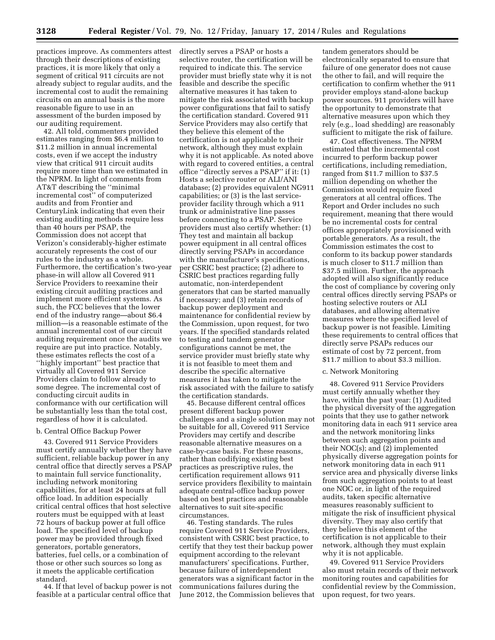practices improve. As commenters attest through their descriptions of existing practices, it is more likely that only a segment of critical 911 circuits are not already subject to regular audits, and the incremental cost to audit the remaining circuits on an annual basis is the more reasonable figure to use in an assessment of the burden imposed by our auditing requirement.

42. All told, commenters provided estimates ranging from \$6.4 million to \$11.2 million in annual incremental costs, even if we accept the industry view that critical 911 circuit audits require more time than we estimated in the NPRM. In light of comments from AT&T describing the ''minimal incremental cost'' of computerized audits and from Frontier and CenturyLink indicating that even their existing auditing methods require less than 40 hours per PSAP, the Commission does not accept that Verizon's considerably-higher estimate accurately represents the cost of our rules to the industry as a whole. Furthermore, the certification's two-year phase-in will allow all Covered 911 Service Providers to reexamine their existing circuit auditing practices and implement more efficient systems. As such, the FCC believes that the lower end of the industry range—about \$6.4 million—is a reasonable estimate of the annual incremental cost of our circuit auditing requirement once the audits we require are put into practice. Notably, these estimates reflects the cost of a ''highly important'' best practice that virtually all Covered 911 Service Providers claim to follow already to some degree. The incremental cost of conducting circuit audits in conformance with our certification will be substantially less than the total cost, regardless of how it is calculated.

### b. Central Office Backup Power

43. Covered 911 Service Providers must certify annually whether they have sufficient, reliable backup power in any central office that directly serves a PSAP to maintain full service functionality, including network monitoring capabilities, for at least 24 hours at full office load. In addition especially critical central offices that host selective routers must be equipped with at least 72 hours of backup power at full office load. The specified level of backup power may be provided through fixed generators, portable generators, batteries, fuel cells, or a combination of those or other such sources so long as it meets the applicable certification standard.

44. If that level of backup power is not feasible at a particular central office that

directly serves a PSAP or hosts a selective router, the certification will be required to indicate this. The service provider must briefly state why it is not feasible and describe the specific alternative measures it has taken to mitigate the risk associated with backup power configurations that fail to satisfy the certification standard. Covered 911 Service Providers may also certify that they believe this element of the certification is not applicable to their network, although they must explain why it is not applicable. As noted above with regard to covered entities, a central office ''directly serves a PSAP'' if it: (1) Hosts a selective router or ALI/ANI database; (2) provides equivalent NG911 capabilities; or (3) is the last serviceprovider facility through which a 911 trunk or administrative line passes before connecting to a PSAP. Service providers must also certify whether: (1) They test and maintain all backup power equipment in all central offices directly serving PSAPs in accordance with the manufacturer's specifications, per CSRIC best practice; (2) adhere to CSRIC best practices regarding fully automatic, non-interdependent generators that can be started manually if necessary; and (3) retain records of backup power deployment and maintenance for confidential review by the Commission, upon request, for two years. If the specified standards related to testing and tandem generator configurations cannot be met, the service provider must briefly state why it is not feasible to meet them and describe the specific alternative measures it has taken to mitigate the risk associated with the failure to satisfy the certification standards.

45. Because different central offices present different backup power challenges and a single solution may not be suitable for all, Covered 911 Service Providers may certify and describe reasonable alternative measures on a case-by-case basis. For these reasons, rather than codifying existing best practices as prescriptive rules, the certification requirement allows 911 service providers flexibility to maintain adequate central-office backup power based on best practices and reasonable alternatives to suit site-specific circumstances.

46. Testing standards. The rules require Covered 911 Service Providers, consistent with CSRIC best practice, to certify that they test their backup power equipment according to the relevant manufacturers' specifications. Further, because failure of interdependent generators was a significant factor in the communications failures during the June 2012, the Commission believes that

tandem generators should be electronically separated to ensure that failure of one generator does not cause the other to fail, and will require the certification to confirm whether the 911 provider employs stand-alone backup power sources. 911 providers will have the opportunity to demonstrate that alternative measures upon which they rely (e.g., load shedding) are reasonably sufficient to mitigate the risk of failure.

47. Cost effectiveness. The NPRM estimated that the incremental cost incurred to perform backup power certifications, including remediation, ranged from \$11.7 million to \$37.5 million depending on whether the Commission would require fixed generators at all central offices. The Report and Order includes no such requirement, meaning that there would be no incremental costs for central offices appropriately provisioned with portable generators. As a result, the Commission estimates the cost to conform to its backup power standards is much closer to \$11.7 million than \$37.5 million. Further, the approach adopted will also significantly reduce the cost of compliance by covering only central offices directly serving PSAPs or hosting selective routers or ALI databases, and allowing alternative measures where the specified level of backup power is not feasible. Limiting these requirements to central offices that directly serve PSAPs reduces our estimate of cost by 72 percent, from \$11.7 million to about \$3.3 million.

# c. Network Monitoring

48. Covered 911 Service Providers must certify annually whether they have, within the past year: (1) Audited the physical diversity of the aggregation points that they use to gather network monitoring data in each 911 service area and the network monitoring links between such aggregation points and their NOC(s); and (2) implemented physically diverse aggregation points for network monitoring data in each 911 service area and physically diverse links from such aggregation points to at least one NOC or, in light of the required audits, taken specific alternative measures reasonably sufficient to mitigate the risk of insufficient physical diversity. They may also certify that they believe this element of the certification is not applicable to their network, although they must explain why it is not applicable.

49. Covered 911 Service Providers also must retain records of their network monitoring routes and capabilities for confidential review by the Commission, upon request, for two years.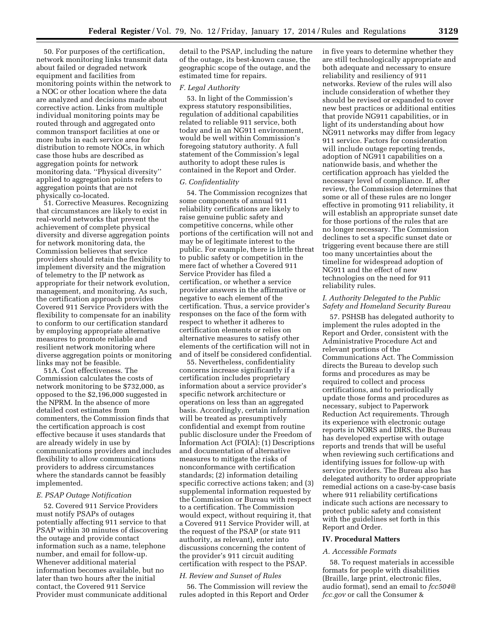50. For purposes of the certification, network monitoring links transmit data about failed or degraded network equipment and facilities from monitoring points within the network to a NOC or other location where the data are analyzed and decisions made about corrective action. Links from multiple individual monitoring points may be routed through and aggregated onto common transport facilities at one or more hubs in each service area for distribution to remote NOCs, in which case those hubs are described as aggregation points for network monitoring data. ''Physical diversity'' applied to aggregation points refers to aggregation points that are not physically co-located.

51. Corrective Measures. Recognizing that circumstances are likely to exist in real-world networks that prevent the achievement of complete physical diversity and diverse aggregation points for network monitoring data, the Commission believes that service providers should retain the flexibility to implement diversity and the migration of telemetry to the IP network as appropriate for their network evolution, management, and monitoring. As such, the certification approach provides Covered 911 Service Providers with the flexibility to compensate for an inability to conform to our certification standard by employing appropriate alternative measures to promote reliable and resilient network monitoring where diverse aggregation points or monitoring links may not be feasible.

51A. Cost effectiveness. The Commission calculates the costs of network monitoring to be \$732,000, as opposed to the \$2,196,000 suggested in the NPRM. In the absence of more detailed cost estimates from commenters, the Commission finds that the certification approach is cost effective because it uses standards that are already widely in use by communications providers and includes flexibility to allow communications providers to address circumstances where the standards cannot be feasibly implemented.

### *E. PSAP Outage Notification*

52. Covered 911 Service Providers must notify PSAPs of outages potentially affecting 911 service to that PSAP within 30 minutes of discovering the outage and provide contact information such as a name, telephone number, and email for follow-up. Whenever additional material information becomes available, but no later than two hours after the initial contact, the Covered 911 Service Provider must communicate additional

detail to the PSAP, including the nature of the outage, its best-known cause, the geographic scope of the outage, and the estimated time for repairs.

### *F. Legal Authority*

53. In light of the Commission's express statutory responsibilities, regulation of additional capabilities related to reliable 911 service, both today and in an NG911 environment, would be well within Commission's foregoing statutory authority. A full statement of the Commission's legal authority to adopt these rules is contained in the Report and Order.

#### *G. Confidentiality*

54. The Commission recognizes that some components of annual 911 reliability certifications are likely to raise genuine public safety and competitive concerns, while other portions of the certification will not and may be of legitimate interest to the public. For example, there is little threat to public safety or competition in the mere fact of whether a Covered 911 Service Provider has filed a certification, or whether a service provider answers in the affirmative or negative to each element of the certification. Thus, a service provider's responses on the face of the form with respect to whether it adheres to certification elements or relies on alternative measures to satisfy other elements of the certification will not in and of itself be considered confidential.

55. Nevertheless, confidentiality concerns increase significantly if a certification includes proprietary information about a service provider's specific network architecture or operations on less than an aggregated basis. Accordingly, certain information will be treated as presumptively confidential and exempt from routine public disclosure under the Freedom of Information Act (FOIA): (1) Descriptions and documentation of alternative measures to mitigate the risks of nonconformance with certification standards; (2) information detailing specific corrective actions taken; and (3) supplemental information requested by the Commission or Bureau with respect to a certification. The Commission would expect, without requiring it, that a Covered 911 Service Provider will, at the request of the PSAP (or state 911 authority, as relevant), enter into discussions concerning the content of the provider's 911 circuit auditing certification with respect to the PSAP.

### *H. Review and Sunset of Rules*

56. The Commission will review the rules adopted in this Report and Order in five years to determine whether they are still technologically appropriate and both adequate and necessary to ensure reliability and resiliency of 911 networks. Review of the rules will also include consideration of whether they should be revised or expanded to cover new best practices or additional entities that provide NG911 capabilities, or in light of its understanding about how NG911 networks may differ from legacy 911 service. Factors for consideration will include outage reporting trends, adoption of NG911 capabilities on a nationwide basis, and whether the certification approach has yielded the necessary level of compliance. If, after review, the Commission determines that some or all of these rules are no longer effective in promoting 911 reliability, it will establish an appropriate sunset date for those portions of the rules that are no longer necessary. The Commission declines to set a specific sunset date or triggering event because there are still too many uncertainties about the timeline for widespread adoption of NG911 and the effect of new technologies on the need for 911 reliability rules.

### *I. Authority Delegated to the Public Safety and Homeland Security Bureau*

57. PSHSB has delegated authority to implement the rules adopted in the Report and Order, consistent with the Administrative Procedure Act and relevant portions of the Communications Act. The Commission directs the Bureau to develop such forms and procedures as may be required to collect and process certifications, and to periodically update those forms and procedures as necessary, subject to Paperwork Reduction Act requirements. Through its experience with electronic outage reports in NORS and DIRS, the Bureau has developed expertise with outage reports and trends that will be useful when reviewing such certifications and identifying issues for follow-up with service providers. The Bureau also has delegated authority to order appropriate remedial actions on a case-by-case basis where 911 reliability certifications indicate such actions are necessary to protect public safety and consistent with the guidelines set forth in this Report and Order.

### **IV. Procedural Matters**

#### *A. Accessible Formats*

58. To request materials in accessible formats for people with disabilities (Braille, large print, electronic files, audio format), send an email to *[fcc504@](mailto:fcc504@fcc.gov) [fcc.gov](mailto:fcc504@fcc.gov)* or call the Consumer &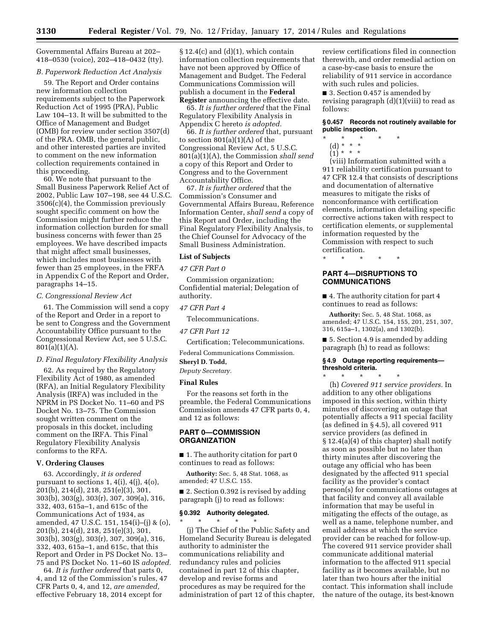Governmental Affairs Bureau at 202– 418–0530 (voice), 202–418–0432 (tty).

# *B. Paperwork Reduction Act Analysis*

59. The Report and Order contains new information collection requirements subject to the Paperwork Reduction Act of 1995 (PRA), Public Law 104–13. It will be submitted to the Office of Management and Budget (OMB) for review under section 3507(d) of the PRA. OMB, the general public, and other interested parties are invited to comment on the new information collection requirements contained in this proceeding.

60. We note that pursuant to the Small Business Paperwork Relief Act of 2002, Public Law 107–198, see 44 U.S.C. 3506(c)(4), the Commission previously sought specific comment on how the Commission might further reduce the information collection burden for small business concerns with fewer than 25 employees. We have described impacts that might affect small businesses, which includes most businesses with fewer than 25 employees, in the FRFA in Appendix C of the Report and Order, paragraphs 14–15.

### *C. Congressional Review Act*

61. The Commission will send a copy of the Report and Order in a report to be sent to Congress and the Government Accountability Office pursuant to the Congressional Review Act, see 5 U.S.C. 801(a)(1)(A).

#### *D. Final Regulatory Flexibility Analysis*

62. As required by the Regulatory Flexibility Act of 1980, as amended (RFA), an Initial Regulatory Flexibility Analysis (IRFA) was included in the NPRM in PS Docket No. 11–60 and PS Docket No. 13–75. The Commission sought written comment on the proposals in this docket, including comment on the IRFA. This Final Regulatory Flexibility Analysis conforms to the RFA.

### **V. Ordering Clauses**

63. Accordingly, *it is ordered*  pursuant to sections  $1, 4(i), 4(i), 4(0),$ 201(b), 214(d), 218, 251(e)(3), 301, 303(b), 303(g), 303(r), 307, 309(a), 316, 332, 403, 615a–1, and 615c of the Communications Act of 1934, as amended, 47 U.S.C. 151, 154(i)–(j) & (o), 201(b), 214(d), 218, 251(e)(3), 301, 303(b), 303(g), 303(r), 307, 309(a), 316, 332, 403, 615a–1, and 615c, that this Report and Order in PS Docket No. 13– 75 and PS Docket No. 11–60 IS *adopted.* 

64. *It is further ordered* that parts 0, 4, and 12 of the Commission's rules, 47 CFR Parts 0, 4, and 12, *are amended,*  effective February 18, 2014 except for

 $§ 12.4(c)$  and  $(d)(1)$ , which contain information collection requirements that have not been approved by Office of Management and Budget. The Federal Communications Commission will publish a document in the **Federal Register** announcing the effective date.

65. *It is further ordered* that the Final Regulatory Flexibility Analysis in Appendix C hereto *is adopted.* 

66. *It is further ordered* that, pursuant to section 801(a)(1)(A) of the Congressional Review Act, 5 U.S.C. 801(a)(1)(A), the Commission *shall send*  a copy of this Report and Order to Congress and to the Government Accountability Office.

67. *It is further ordered* that the Commission's Consumer and Governmental Affairs Bureau, Reference Information Center, *shall send* a copy of this Report and Order, including the Final Regulatory Flexibility Analysis, to the Chief Counsel for Advocacy of the Small Business Administration.

### **List of Subjects**

### *47 CFR Part 0*

Commission organization; Confidential material; Delegation of authority.

# *47 CFR Part 4*

Telecommunications.

# *47 CFR Part 12*

Certification; Telecommunications.

Federal Communications Commission.

# **Sheryl D. Todd,**

*Deputy Secretary.* 

# **Final Rules**

For the reasons set forth in the preamble, the Federal Communications Commission amends 47 CFR parts 0, 4, and 12 as follows:

### **PART 0—COMMISSION ORGANIZATION**

■ 1. The authority citation for part 0 continues to read as follows:

**Authority:** Sec. 5, 48 Stat. 1068, as amended; 47 U.S.C. 155.

■ 2. Section 0.392 is revised by adding paragraph (j) to read as follows:

#### **§ 0.392 Authority delegated.**

\* \* \* \* \* (j) The Chief of the Public Safety and Homeland Security Bureau is delegated authority to administer the communications reliability and redundancy rules and policies contained in part 12 of this chapter, develop and revise forms and procedures as may be required for the administration of part 12 of this chapter,

review certifications filed in connection therewith, and order remedial action on a case-by-case basis to ensure the reliability of 911 service in accordance with such rules and policies.

■ 3. Section 0.457 is amended by revising paragraph  $(d)(1)(viii)$  to read as follows:

### **§ 0.457 Records not routinely available for public inspection.**

- \* \* \* \* \*
	- (d) \* \* \*
	- $(1) * * * *$

(viii) Information submitted with a 911 reliability certification pursuant to 47 CFR 12.4 that consists of descriptions and documentation of alternative measures to mitigate the risks of nonconformance with certification elements, information detailing specific corrective actions taken with respect to certification elements, or supplemental information requested by the Commission with respect to such certification.

\* \* \* \* \*

# **PART 4—DISRUPTIONS TO COMMUNICATIONS**

■ 4. The authority citation for part 4 continues to read as follows:

**Authority:** Sec. 5, 48 Stat. 1068, as amended; 47 U.S.C. 154, 155, 201, 251, 307, 316, 615a–1, 1302(a), and 1302(b).

■ 5. Section 4.9 is amended by adding paragraph (h) to read as follows:

# **§ 4.9 Outage reporting requirements threshold criteria.**

\* \* \* \* \* (h) *Covered 911 service providers.* In addition to any other obligations imposed in this section, within thirty minutes of discovering an outage that potentially affects a 911 special facility (as defined in § 4.5), all covered 911 service providers (as defined in § 12.4(a)(4) of this chapter) shall notify as soon as possible but no later than thirty minutes after discovering the outage any official who has been designated by the affected 911 special facility as the provider's contact person(s) for communications outages at that facility and convey all available information that may be useful in mitigating the effects of the outage, as well as a name, telephone number, and email address at which the service provider can be reached for follow-up. The covered 911 service provider shall communicate additional material information to the affected 911 special facility as it becomes available, but no later than two hours after the initial contact. This information shall include the nature of the outage, its best-known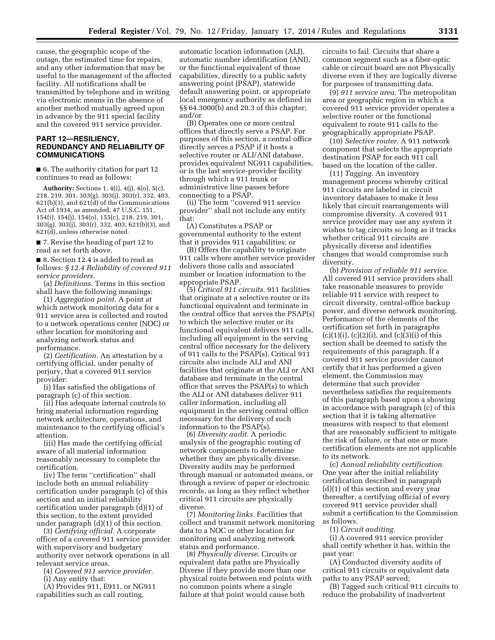cause, the geographic scope of the outage, the estimated time for repairs, and any other information that may be useful to the management of the affected facility. All notifications shall be transmitted by telephone and in writing via electronic means in the absence of another method mutually agreed upon in advance by the 911 special facility and the covered 911 service provider.

# **PART 12—RESILIENCY, REDUNDANCY AND RELIABILITY OF COMMUNICATIONS**

■ 6. The authority citation for part 12 continues to read as follows:

**Authority:** Sections 1, 4(i), 4(j), 4(o), 5(c), 218, 219, 301, 303(g), 303(j), 303(r), 332, 403, 621(b)(3), and 621(d) of the Communications Act of 1934, as amended, 47 U.S.C. 151, 154(i), 154(j), 154(o), 155(c), 218, 219, 301, 303(g), 303(j), 303(r), 332, 403, 621(b)(3), and 621(d), unless otherwise noted.

■ 7. Revise the heading of part 12 to read as set forth above.

■ 8. Section 12.4 is added to read as follows: *§ 12.4 Reliability of covered 911 service providers.* 

(a) *Definitions.* Terms in this section shall have the following meanings:

(1) *Aggregation point.* A point at which network monitoring data for a 911 service area is collected and routed to a network operations center (NOC) or other location for monitoring and analyzing network status and performance.

(2) *Certification.* An attestation by a certifying official, under penalty of perjury, that a covered 911 service provider:

(i) Has satisfied the obligations of paragraph (c) of this section.

(ii) Has adequate internal controls to bring material information regarding network architecture, operations, and maintenance to the certifying official's attention.

(iii) Has made the certifying official aware of all material information reasonably necessary to complete the certification.

(iv) The term ''certification'' shall include both an annual reliability certification under paragraph (c) of this section and an initial reliability certification under paragraph (d)(1) of this section, to the extent provided under paragraph (d)(1) of this section.

(3) *Certifying official.* A corporate officer of a covered 911 service provider with supervisory and budgetary authority over network operations in all relevant service areas.

(4) *Covered 911 service provider.* 

(i) Any entity that:

(A) Provides 911, E911, or NG911 capabilities such as call routing,

automatic location information (ALI), automatic number identification (ANI), or the functional equivalent of those capabilities, directly to a public safety answering point (PSAP), statewide default answering point, or appropriate local emergency authority as defined in §§ 64.3000(b) and 20.3 of this chapter; and/or

(B) Operates one or more central offices that directly serve a PSAP. For purposes of this section, a central office directly serves a PSAP if it hosts a selective router or ALI/ANI database, provides equivalent NG911 capabilities, or is the last service-provider facility through which a 911 trunk or administrative line passes before connecting to a PSAP.

(ii) The term ''covered 911 service provider'' shall not include any entity that:

(A) Constitutes a PSAP or governmental authority to the extent that it provides 911 capabilities; or

(B) Offers the capability to originate 911 calls where another service provider delivers those calls and associated number or location information to the appropriate PSAP.

(5) *Critical 911 circuits.* 911 facilities that originate at a selective router or its functional equivalent and terminate in the central office that serves the PSAP(s) to which the selective router or its functional equivalent delivers 911 calls, including all equipment in the serving central office necessary for the delivery of 911 calls to the PSAP(s). Critical 911 circuits also include ALI and ANI facilities that originate at the ALI or ANI database and terminate in the central office that serves the PSAP(s) to which the ALI or ANI databases deliver 911 caller information, including all equipment in the serving central office necessary for the delivery of such information to the PSAP(s).

(6) *Diversity audit.* A periodic analysis of the geographic routing of network components to determine whether they are physically diverse. Diversity audits may be performed through manual or automated means, or through a review of paper or electronic records, as long as they reflect whether critical 911 circuits are physically diverse.

(7) *Monitoring links.* Facilities that collect and transmit network monitoring data to a NOC or other location for monitoring and analyzing network status and performance.

(8) *Physically diverse.* Circuits or equivalent data paths are Physically Diverse if they provide more than one physical route between end points with no common points where a single failure at that point would cause both

circuits to fail. Circuits that share a common segment such as a fiber-optic cable or circuit board are not Physically diverse even if they are logically diverse for purposes of transmitting data.

(9) *911 service area.* The metropolitan area or geographic region in which a covered 911 service provider operates a selective router or the functional equivalent to route 911 calls to the geographically appropriate PSAP.

(10) *Selective router.* A 911 network component that selects the appropriate destination PSAP for each 911 call based on the location of the caller.

(11) *Tagging.* An inventory management process whereby critical 911 circuits are labeled in circuit inventory databases to make it less likely that circuit rearrangements will compromise diversity. A covered 911 service provider may use any system it wishes to tag circuits so long as it tracks whether critical 911 circuits are physically diverse and identifies changes that would compromise such diversity.

(b) *Provision of reliable 911 service.*  All covered 911 service providers shall take reasonable measures to provide reliable 911 service with respect to circuit diversity, central-office backup power, and diverse network monitoring. Performance of the elements of the certification set forth in paragraphs  $(c)(1)(i)$ ,  $(c)(2)(i)$ , and  $(c)(3)(i)$  of this section shall be deemed to satisfy the requirements of this paragraph. If a covered 911 service provider cannot certify that it has performed a given element, the Commission may determine that such provider nevertheless satisfies the requirements of this paragraph based upon a showing in accordance with paragraph (c) of this section that it is taking alternative measures with respect to that element that are reasonably sufficient to mitigate the risk of failure, or that one or more certification elements are not applicable to its network.

(c) *Annual reliability certification.*  One year after the initial reliability certification described in paragraph (d)(1) of this section and every year thereafter, a certifying official of every covered 911 service provider shall submit a certification to the Commission as follows.

(1) *Circuit auditing.* 

(i) A covered 911 service provider shall certify whether it has, within the past year:

(A) Conducted diversity audits of critical 911 circuits or equivalent data paths to any PSAP served;

(B) Tagged such critical 911 circuits to reduce the probability of inadvertent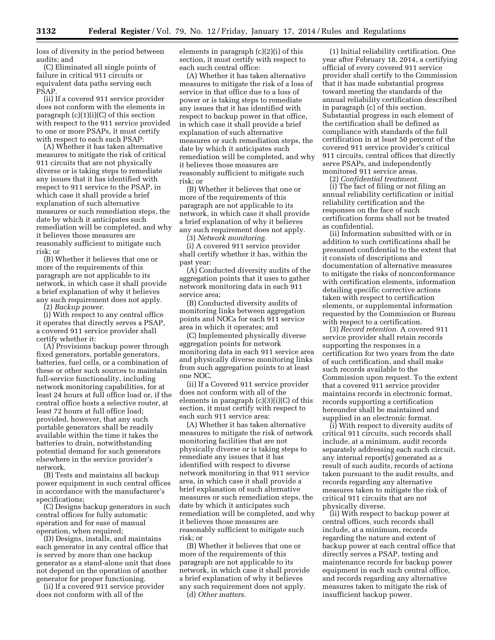loss of diversity in the period between audits; and

(C) Eliminated all single points of failure in critical 911 circuits or equivalent data paths serving each PSAP.

(ii) If a covered 911 service provider does not conform with the elements in paragraph  $(c)(1)(i)(C)$  of this section with respect to the 911 service provided to one or more PSAPs, it must certify with respect to each such PSAP:

(A) Whether it has taken alternative measures to mitigate the risk of critical 911 circuits that are not physically diverse or is taking steps to remediate any issues that it has identified with respect to 911 service to the PSAP, in which case it shall provide a brief explanation of such alternative measures or such remediation steps, the date by which it anticipates such remediation will be completed, and why it believes those measures are reasonably sufficient to mitigate such risk; or

(B) Whether it believes that one or more of the requirements of this paragraph are not applicable to its network, in which case it shall provide a brief explanation of why it believes any such requirement does not apply.

(2) *Backup power.* 

(i) With respect to any central office it operates that directly serves a PSAP, a covered 911 service provider shall certify whether it:

(A) Provisions backup power through fixed generators, portable generators, batteries, fuel cells, or a combination of these or other such sources to maintain full-service functionality, including network monitoring capabilities, for at least 24 hours at full office load or, if the central office hosts a selective router, at least 72 hours at full office load; provided, however, that any such portable generators shall be readily available within the time it takes the batteries to drain, notwithstanding potential demand for such generators elsewhere in the service provider's network.

(B) Tests and maintains all backup power equipment in such central offices in accordance with the manufacturer's specifications;

(C) Designs backup generators in such central offices for fully automatic operation and for ease of manual operation, when required;

(D) Designs, installs, and maintains each generator in any central office that is served by more than one backup generator as a stand-alone unit that does not depend on the operation of another generator for proper functioning.

(ii) If a covered 911 service provider does not conform with all of the

elements in paragraph (c)(2)(i) of this section, it must certify with respect to each such central office:

(A) Whether it has taken alternative measures to mitigate the risk of a loss of service in that office due to a loss of power or is taking steps to remediate any issues that it has identified with respect to backup power in that office, in which case it shall provide a brief explanation of such alternative measures or such remediation steps, the date by which it anticipates such remediation will be completed, and why it believes those measures are reasonably sufficient to mitigate such risk; or

(B) Whether it believes that one or more of the requirements of this paragraph are not applicable to its network, in which case it shall provide a brief explanation of why it believes any such requirement does not apply.

(3) *Network monitoring.* 

(i) A covered 911 service provider shall certify whether it has, within the past year:

(A) Conducted diversity audits of the aggregation points that it uses to gather network monitoring data in each 911 service area;

(B) Conducted diversity audits of monitoring links between aggregation points and NOCs for each 911 service area in which it operates; and

(C) Implemented physically diverse aggregation points for network monitoring data in each 911 service area and physically diverse monitoring links from such aggregation points to at least one NOC.

(ii) If a Covered 911 service provider does not conform with all of the elements in paragraph (c)(3)(i)(C) of this section, it must certify with respect to each such 911 service area:

(A) Whether it has taken alternative measures to mitigate the risk of network monitoring facilities that are not physically diverse or is taking steps to remediate any issues that it has identified with respect to diverse network monitoring in that 911 service area, in which case it shall provide a brief explanation of such alternative measures or such remediation steps, the date by which it anticipates such remediation will be completed, and why it believes those measures are reasonably sufficient to mitigate such risk; or

(B) Whether it believes that one or more of the requirements of this paragraph are not applicable to its network, in which case it shall provide a brief explanation of why it believes any such requirement does not apply.

(d) *Other matters.* 

(1) Initial reliability certification. One year after February 18, 2014, a certifying official of every covered 911 service provider shall certify to the Commission that it has made substantial progress toward meeting the standards of the annual reliability certification described in paragraph (c) of this section. Substantial progress in each element of the certification shall be defined as compliance with standards of the full certification in at least 50 percent of the covered 911 service provider's critical 911 circuits, central offices that directly serve PSAPs, and independently monitored 911 service areas.

(2) *Confidential treatment.* 

(i) The fact of filing or not filing an annual reliability certification or initial reliability certification and the responses on the face of such certification forms shall not be treated as confidential.

(ii) Information submitted with or in addition to such certifications shall be presumed confidential to the extent that it consists of descriptions and documentation of alternative measures to mitigate the risks of nonconformance with certification elements, information detailing specific corrective actions taken with respect to certification elements, or supplemental information requested by the Commission or Bureau with respect to a certification.

(3) *Record retention.* A covered 911 service provider shall retain records supporting the responses in a certification for two years from the date of such certification, and shall make such records available to the Commission upon request. To the extent that a covered 911 service provider maintains records in electronic format, records supporting a certification hereunder shall be maintained and supplied in an electronic format.

(i) With respect to diversity audits of critical 911 circuits, such records shall include, at a minimum, audit records separately addressing each such circuit, any internal report(s) generated as a result of such audits, records of actions taken pursuant to the audit results, and records regarding any alternative measures taken to mitigate the risk of critical 911 circuits that are not physically diverse.

(ii) With respect to backup power at central offices, such records shall include, at a minimum, records regarding the nature and extent of backup power at each central office that directly serves a PSAP, testing and maintenance records for backup power equipment in each such central office, and records regarding any alternative measures taken to mitigate the risk of insufficient backup power.